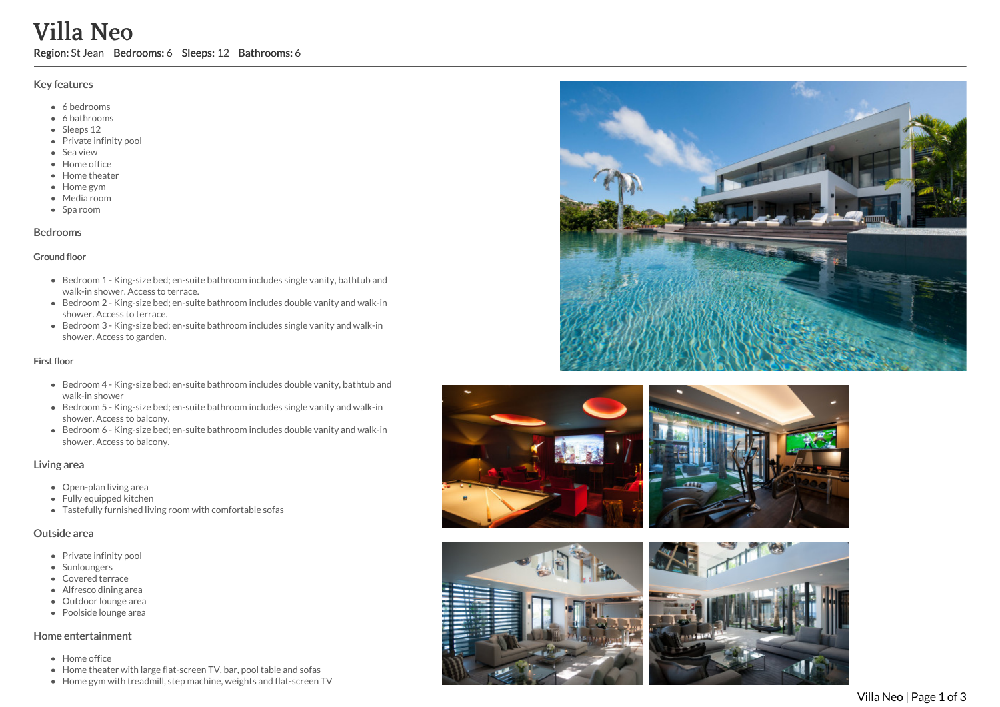# Villa Neo

Region: St Jean Bedrooms: 6 Sleeps: 12 Bathrooms: 6

#### Key features

- 6 b e d r o o m s
- 6 bathrooms
- Sleeps 12
- Private infinity pool
- Sea view
- Home office
- Home theater
- Home gym
- Media room
- Spa room

#### **Bedrooms**

#### Ground floor

- Bedroom 1 King-size bed; en-suite bathroom includes single vanity, bathtub and walk-in shower. Access to terrace.
- Bedroom 2 King-size bed; en-suite bathroom includes double vanity and walk-in shower. Access to terrace.
- Bedroom 3 King-size bed; en-suite bathroom includes single vanity and walk-in shower. Access to garden.

#### First floor

- Bedroom 4 King-size bed; en-suite bathroom includes double vanity, bathtub and walk-in shower
- Bedroom 5 King-size bed; en-suite bathroom includes single vanity and walk-in shower. Access to balcony.
- Bedroom 6 King-size bed; en-suite bathroom includes double vanity and walk-in shower. Access to balcony.

### Living area

- Open-plan living area
- Fully equipped kitchen
- Tastefully furnished living room with comfortable sofas

#### Outside area

- Private infinity pool
- Sunloungers
- Covered terrace
- Alfresco dining area
- Outdoor lounge are a
- Poolside lounge area

## Home entertainment

- H o m e o f fic e
- Home theater with large flat-screen TV, bar, pool table and sofas
- Home gym with treadmill, step machine, weights and flat-screen TV







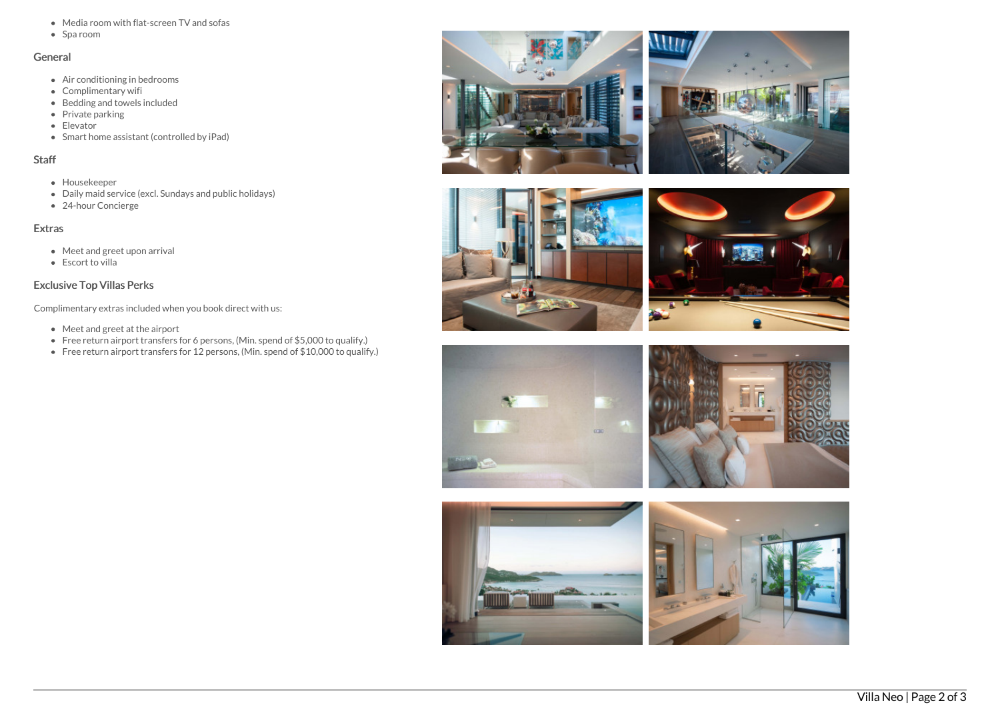- Media room with flat-screen TV and sofas
- Spa room

#### General

- Air conditioning in bedrooms
- Complimentary wifi
- Bedding and towels included
- Private parking
- Elevator
- Smart home assistant (controlled by iPad)

#### Staff

- Housekeeper
- Daily maid service (excl. Sundays and public holidays)
- 24-hour Concierge

## Extras

- Meet and greet upon arrival
- Escort to villa

## Exclusive Top Villas Perks

Complimentary extras included when you book direct with us:

- Meet and greet at the airport
- Free return airport transfers for 6 persons, (Min. spend of \$5,000 to qualify.)
- Free return airport transfers for 12 persons, (Min. spend of \$10,000 to qualify.)